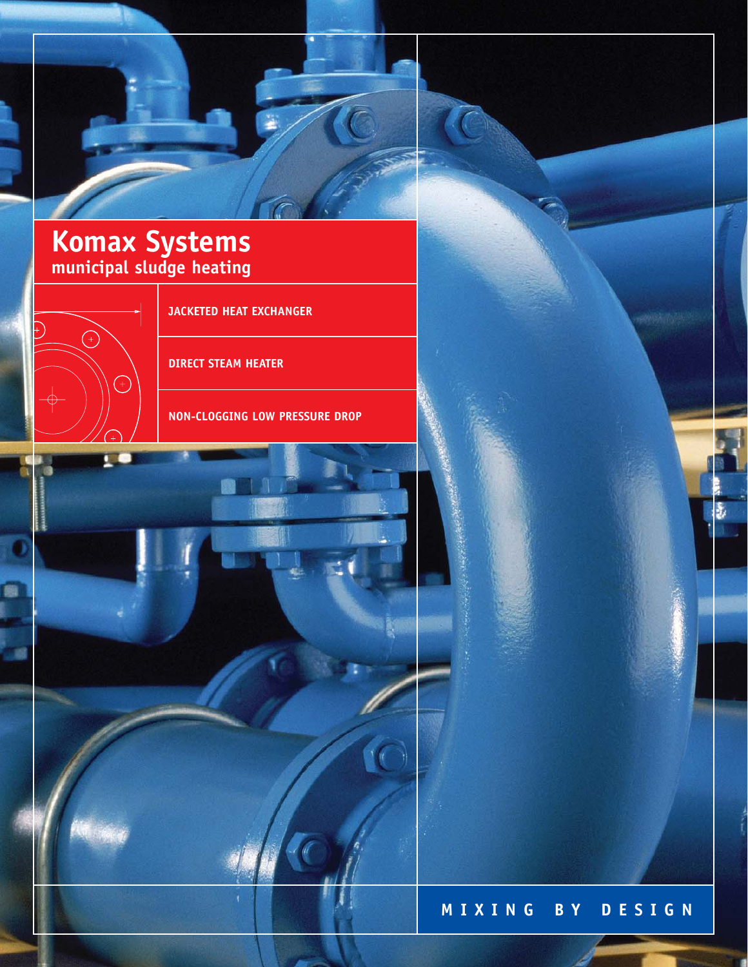

# **Komax Systems municipal sludge heating**



**JACKETED HEAT EXCHANGER**

**DIRECT STEAM HEATER**

**NON-CLOGGING LOW PRESSURE DROP**



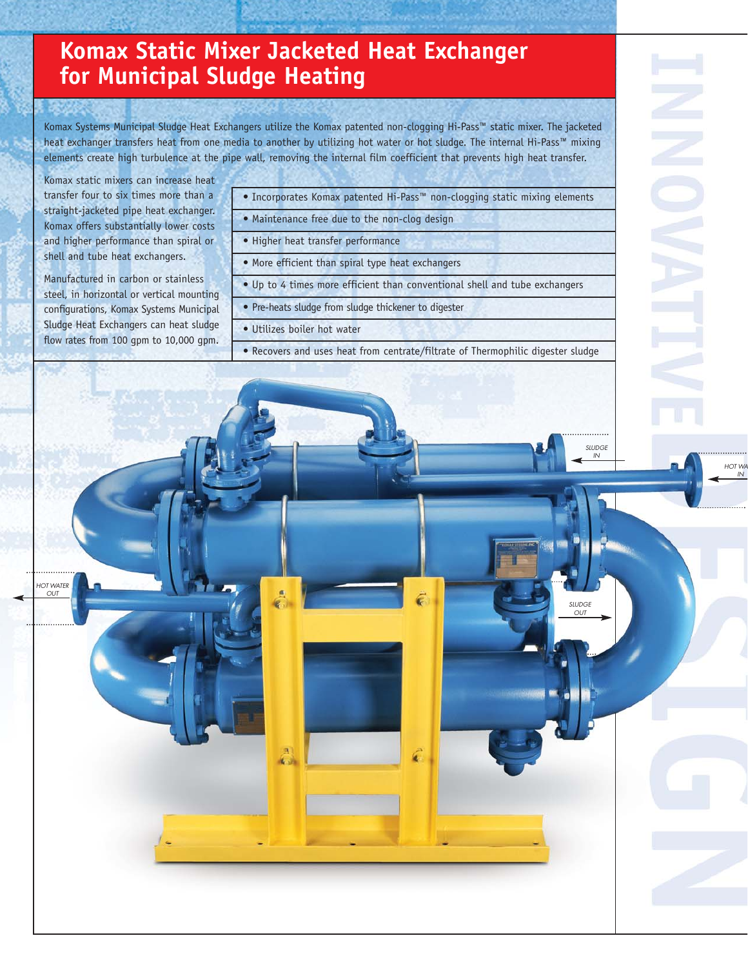# **Komax Static Mixer Jacketed Heat Exchanger for Municipal Sludge Heating**

Komax Systems Municipal Sludge Heat Exchangers utilize the Komax patented non-clogging Hi-Pass™ static mixer. The jacketed heat exchanger transfers heat from one media to another by utilizing hot water or hot sludge. The internal Hi-Pass™ mixing elements create high turbulence at the pipe wall, removing the internal film coefficient that prevents high heat transfer.

Komax static mixers can increase heat transfer four to six times more than a straight-jacketed pipe heat exchanger. Komax offers substantially lower costs and higher performance than spiral or shell and tube heat exchangers.

Manufactured in carbon or stainless steel, in horizontal or vertical mounting configurations, Komax Systems Municipal Sludge Heat Exchangers can heat sludge flow rates from 100 gpm to 10,000 gpm.

HOT WATER OUT

- Incorporates Komax patented Hi-Pass™ non-clogging static mixing elements
- Maintenance free due to the non-clog design
- Higher heat transfer performance
- More efficient than spiral type heat exchangers
- Up to 4 times more efficient than conventional shell and tube exchangers
- Pre-heats sludge from sludge thickener to digester
- Utilizes boiler hot water
- Recovers and uses heat from centrate/filtrate of Thermophilic digester sludge

HOT WA IN

 $\frac{1}{2}$ OUT

SLUDGE IN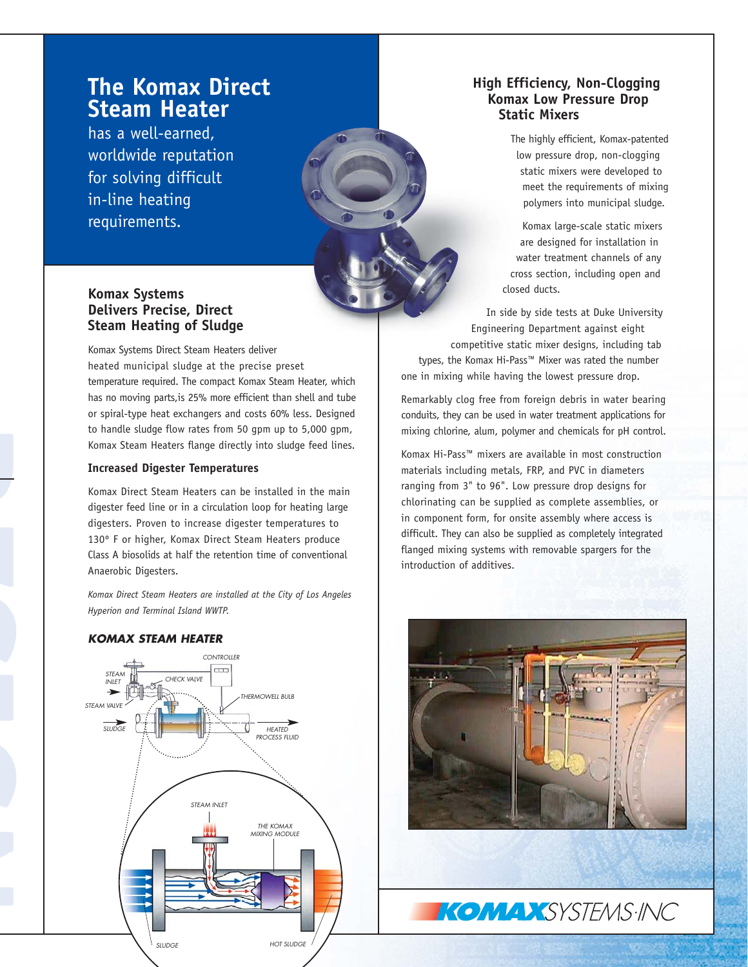## **The Komax Direct Steam Heater**

has a well-earned, worldwide reputation for solving difficult in-line heating requirements.

## **Komax Systems Delivers Precise, Direct Steam Heating of Sludge**

Komax Systems Direct Steam Heaters deliver heated municipal sludge at the precise preset temperature required. The compact Komax Steam Heater, which has no moving parts,is 25% more efficient than shell and tube or spiral-type heat exchangers and costs 60% less. Designed to handle sludge flow rates from 50 gpm up to 5,000 gpm, Komax Steam Heaters flange directly into sludge feed lines.

#### **Increased Digester Temperatures**

Komax Direct Steam Heaters can be installed in the main digester feed line or in a circulation loop for heating large digesters. Proven to increase digester temperatures to 130º F or higher, Komax Direct Steam Heaters produce Class A biosolids at half the retention time of conventional Anaerobic Digesters.

*Komax Direct Steam Heaters are installed at the City of Los Angeles Hyperion and Terminal Island WWTP.*

### **KOMAX STEAM HEATER**



## **High Efficiency, Non-Clogging Komax Low Pressure Drop Static Mixers**

The highly efficient, Komax-patented low pressure drop, non-clogging static mixers were developed to meet the requirements of mixing polymers into municipal sludge.

Komax large-scale static mixers are designed for installation in water treatment channels of any cross section, including open and closed ducts.

In side by side tests at Duke University Engineering Department against eight competitive static mixer designs, including tab types, the Komax Hi-Pass™ Mixer was rated the number one in mixing while having the lowest pressure drop.

Remarkably clog free from foreign debris in water bearing conduits, they can be used in water treatment applications for mixing chlorine, alum, polymer and chemicals for pH control.

Komax Hi-Pass™ mixers are available in most construction materials including metals, FRP, and PVC in diameters ranging from 3" to 96". Low pressure drop designs for chlorinating can be supplied as complete assemblies, or in component form, for onsite assembly where access is difficult. They can also be supplied as completely integrated flanged mixing systems with removable spargers for the introduction of additives.